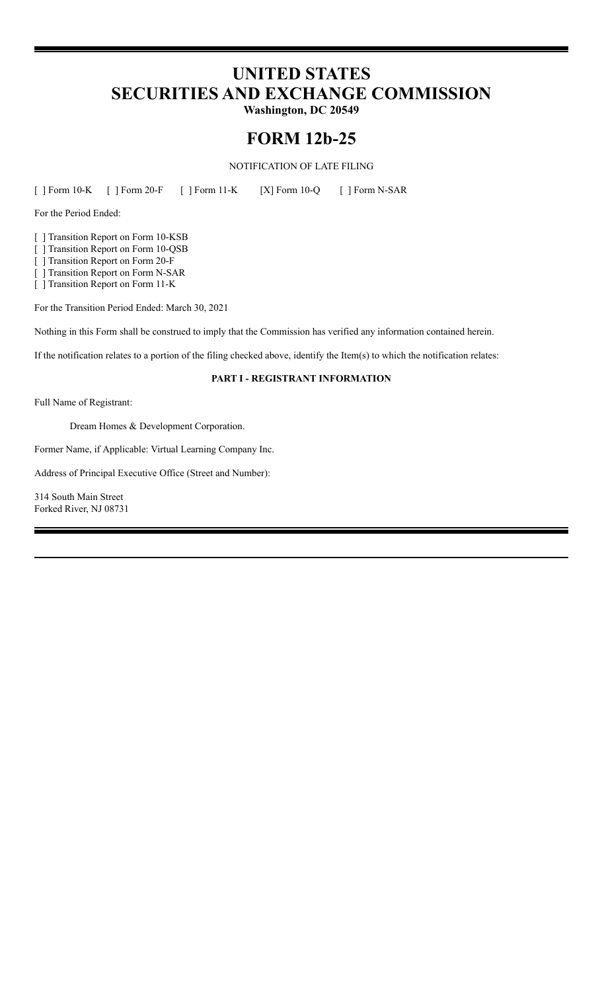# **UNITED STATES SECURITIES AND EXCHANGE COMMISSION**

**Washington, DC 20549**

# **FORM 12b-25**

NOTIFICATION OF LATE FILING

[ ] Form 10-K [ ] Form 20-F [ ] Form 11-K [X] Form 10-Q [ ] Form N-SAR

For the Period Ended:

[ ] Transition Report on Form 10-KSB

[ ] Transition Report on Form 10-QSB

[ ] Transition Report on Form 20-F

[ ] Transition Report on Form N-SAR

[ ] Transition Report on Form 11-K

For the Transition Period Ended: March 30, 2021

Nothing in this Form shall be construed to imply that the Commission has verified any information contained herein.

If the notification relates to a portion of the filing checked above, identify the Item(s) to which the notification relates:

# **PART I - REGISTRANT INFORMATION**

Full Name of Registrant:

Dream Homes & Development Corporation.

Former Name, if Applicable: Virtual Learning Company Inc.

Address of Principal Executive Office (Street and Number):

314 South Main Street Forked River, NJ 08731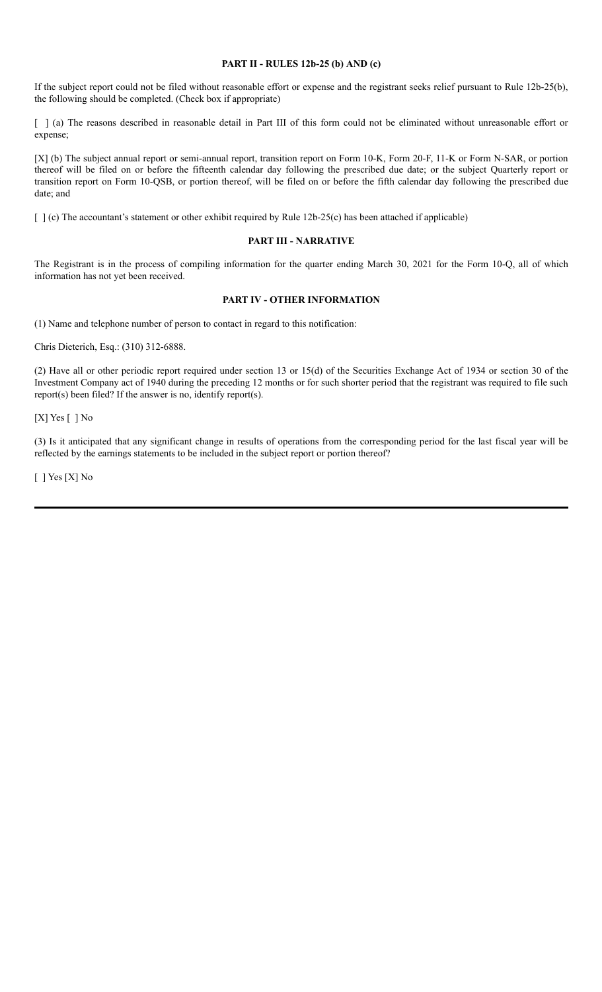### **PART II - RULES 12b-25 (b) AND (c)**

If the subject report could not be filed without reasonable effort or expense and the registrant seeks relief pursuant to Rule 12b-25(b), the following should be completed. (Check box if appropriate)

[ ] (a) The reasons described in reasonable detail in Part III of this form could not be eliminated without unreasonable effort or expense;

[X] (b) The subject annual report or semi-annual report, transition report on Form 10-K, Form 20-F, 11-K or Form N-SAR, or portion thereof will be filed on or before the fifteenth calendar day following the prescribed due date; or the subject Quarterly report or transition report on Form 10-QSB, or portion thereof, will be filed on or before the fifth calendar day following the prescribed due date; and

[ ] (c) The accountant's statement or other exhibit required by Rule 12b-25(c) has been attached if applicable)

#### **PART III - NARRATIVE**

The Registrant is in the process of compiling information for the quarter ending March 30, 2021 for the Form 10-Q, all of which information has not yet been received.

# **PART IV - OTHER INFORMATION**

(1) Name and telephone number of person to contact in regard to this notification:

Chris Dieterich, Esq.: (310) 312-6888.

(2) Have all or other periodic report required under section 13 or 15(d) of the Securities Exchange Act of 1934 or section 30 of the Investment Company act of 1940 during the preceding 12 months or for such shorter period that the registrant was required to file such report(s) been filed? If the answer is no, identify report(s).

[X] Yes [ ] No

(3) Is it anticipated that any significant change in results of operations from the corresponding period for the last fiscal year will be reflected by the earnings statements to be included in the subject report or portion thereof?

[ ] Yes [X] No